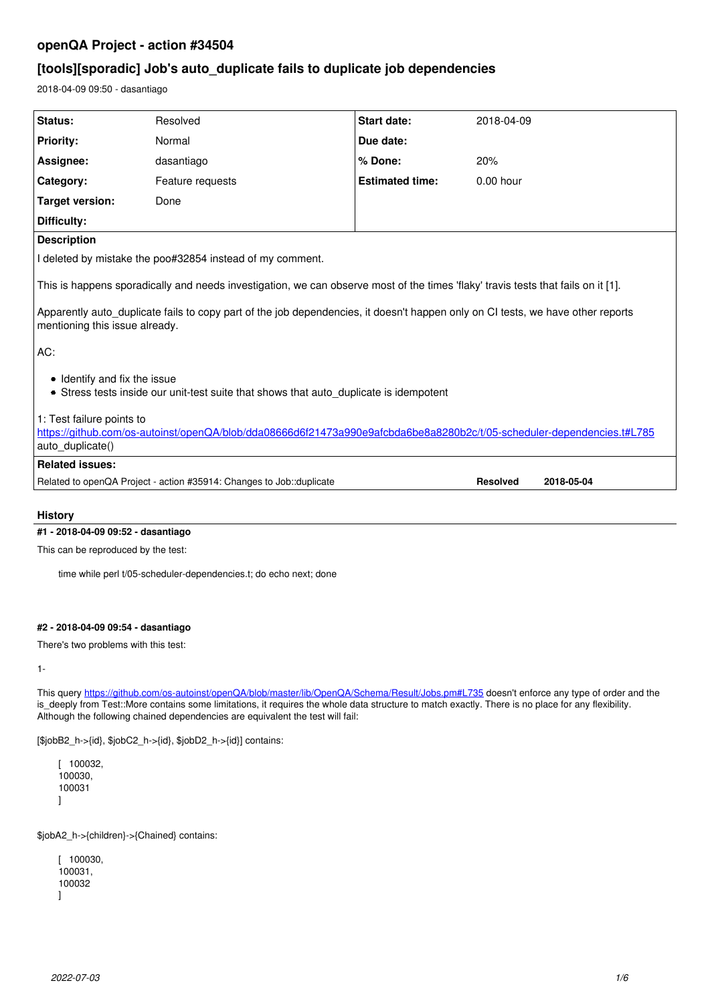# **openQA Project - action #34504**

# **[tools][sporadic] Job's auto\_duplicate fails to duplicate job dependencies**

2018-04-09 09:50 - dasantiago

| Status:                                                                                                                                                                                                                                                                                                | Resolved                                                                                                               | <b>Start date:</b>     | 2018-04-09                    |  |
|--------------------------------------------------------------------------------------------------------------------------------------------------------------------------------------------------------------------------------------------------------------------------------------------------------|------------------------------------------------------------------------------------------------------------------------|------------------------|-------------------------------|--|
| <b>Priority:</b>                                                                                                                                                                                                                                                                                       | Normal                                                                                                                 | Due date:              |                               |  |
| Assignee:                                                                                                                                                                                                                                                                                              | dasantiago                                                                                                             | % Done:                | 20%                           |  |
| Category:                                                                                                                                                                                                                                                                                              | Feature requests                                                                                                       | <b>Estimated time:</b> | $0.00$ hour                   |  |
| <b>Target version:</b>                                                                                                                                                                                                                                                                                 | Done                                                                                                                   |                        |                               |  |
| Difficulty:                                                                                                                                                                                                                                                                                            |                                                                                                                        |                        |                               |  |
| <b>Description</b>                                                                                                                                                                                                                                                                                     |                                                                                                                        |                        |                               |  |
| I deleted by mistake the poo#32854 instead of my comment.                                                                                                                                                                                                                                              |                                                                                                                        |                        |                               |  |
| This is happens sporadically and needs investigation, we can observe most of the times 'flaky' travis tests that fails on it [1].<br>Apparently auto duplicate fails to copy part of the job dependencies, it doesn't happen only on CI tests, we have other reports<br>mentioning this issue already. |                                                                                                                        |                        |                               |  |
|                                                                                                                                                                                                                                                                                                        |                                                                                                                        |                        |                               |  |
| AC:                                                                                                                                                                                                                                                                                                    |                                                                                                                        |                        |                               |  |
| • Identify and fix the issue<br>• Stress tests inside our unit-test suite that shows that auto duplicate is idempotent                                                                                                                                                                                 |                                                                                                                        |                        |                               |  |
| 1: Test failure points to                                                                                                                                                                                                                                                                              |                                                                                                                        |                        |                               |  |
| auto_duplicate()                                                                                                                                                                                                                                                                                       | https://github.com/os-autoinst/openQA/blob/dda08666d6f21473a990e9afcbda6be8a8280b2c/t/05-scheduler-dependencies.t#L785 |                        |                               |  |
| <b>Related issues:</b>                                                                                                                                                                                                                                                                                 |                                                                                                                        |                        |                               |  |
|                                                                                                                                                                                                                                                                                                        |                                                                                                                        |                        |                               |  |
|                                                                                                                                                                                                                                                                                                        | Related to openQA Project - action #35914: Changes to Job:: duplicate                                                  |                        | <b>Resolved</b><br>2018-05-04 |  |
|                                                                                                                                                                                                                                                                                                        |                                                                                                                        |                        |                               |  |
| <b>History</b>                                                                                                                                                                                                                                                                                         |                                                                                                                        |                        |                               |  |

## **#1 - 2018-04-09 09:52 - dasantiago**

This can be reproduced by the test:

time while perl t/05-scheduler-dependencies.t; do echo next; done

## **#2 - 2018-04-09 09:54 - dasantiago**

There's two problems with this test:

1-

This query <https://github.com/os-autoinst/openQA/blob/master/lib/OpenQA/Schema/Result/Jobs.pm#L735>doesn't enforce any type of order and the is\_deeply from Test::More contains some limitations, it requires the whole data structure to match exactly. There is no place for any flexibility. Although the following chained dependencies are equivalent the test will fail:

[\$jobB2\_h->{id}, \$jobC2\_h->{id}, \$jobD2\_h->{id}] contains:

[ 100032, 100030, 100031 ]

\$jobA2\_h->{children}->{Chained} contains:

```
[ 100030100031,
100032
]
```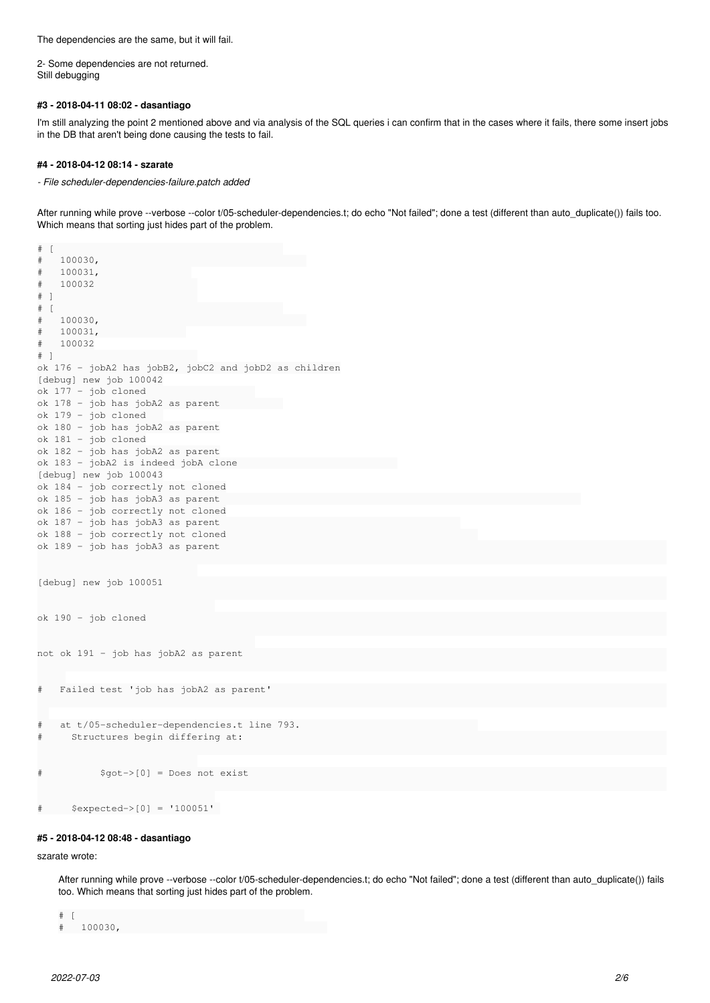The dependencies are the same, but it will fail.

2- Some dependencies are not returned. Still debugging

#### **#3 - 2018-04-11 08:02 - dasantiago**

I'm still analyzing the point 2 mentioned above and via analysis of the SQL queries i can confirm that in the cases where it fails, there some insert jobs in the DB that aren't being done causing the tests to fail.

### **#4 - 2018-04-12 08:14 - szarate**

*- File scheduler-dependencies-failure.patch added*

After running while prove --verbose --color t/05-scheduler-dependencies.t; do echo "Not failed"; done a test (different than auto\_duplicate()) fails too. Which means that sorting just hides part of the problem.

```
\# [
#   100030,                                    
#   100031,                
#   100032                  
# ]                         
\# [
#   100030,                                    
#   100031,               
#   100032
# ]                         
ok 176 - jobA2 has jobB2, jobC2 and jobD2 as children
[debug] new job 100042
ok 177 - job cloned                   
ok 178 - job has jobA2 as parent           
ok 179 - job cloned   
ok 180 - job has jobA2 as parent
ok 181 - job cloned
ok 182 - job has jobA2 as parent
ok 183 - jobA2 is indeed jobA clone                            
[debug] new job 100043
ok 184 - job correctly not cloned
ok 185 - job has jobA3 as parent                                                               
ok 186 - job correctly not cloned
ok 187 - job has jobA3 as parent                                          
ok 188 - job correctly not cloned                                            
ok 189 - job has jobA3 as parent                                                                              
[debug] new job 100051
ok 190 - job cloned                                                                                           
not ok 191 - job has jobA2 as parent                                                                          
#   Failed test 'job has jobA2 as parent'                                                                     
#   at t/05-scheduler-dependencies.t line 793.                               
#     Structures begin differing at:                                                                          
#          $got->[0] = Does not exist                                                                         
#     $expected->[0] = '100051'
```
#### **#5 - 2018-04-12 08:48 - dasantiago**

szarate wrote:

After running while prove --verbose --color t/05-scheduler-dependencies.t; do echo "Not failed"; done a test (different than auto\_duplicate()) fails too. Which means that sorting just hides part of the problem.

```
\# [
#   100030,
```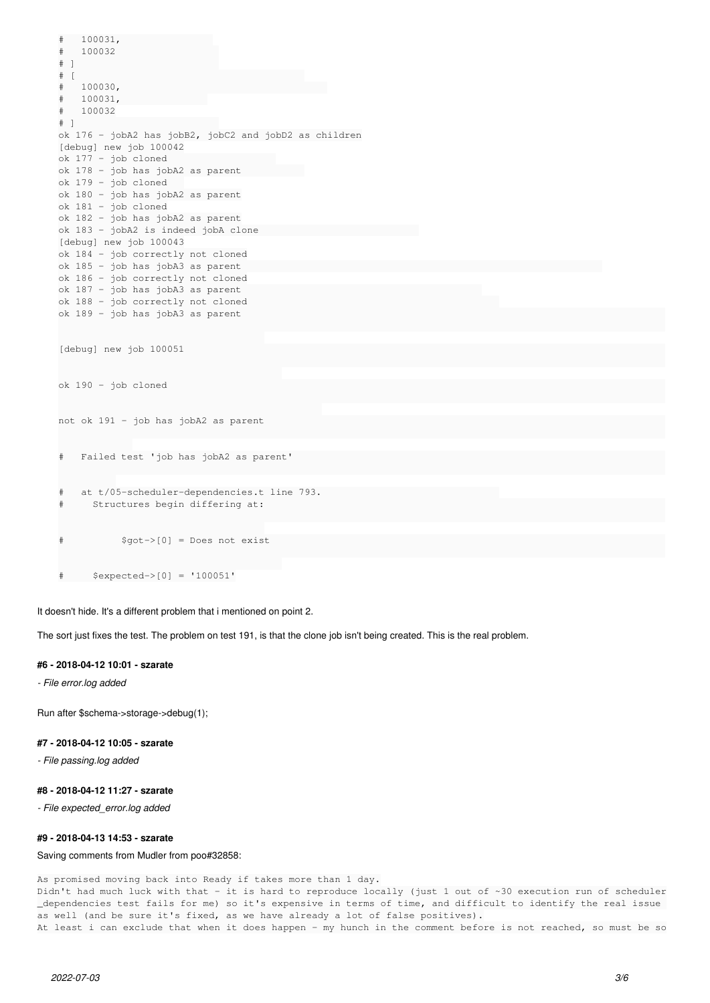```
#   100031,                
#   100032                  
# ]                         
\# [
#   100030,                                    
#   100031,               
#   100032
# ]                         
ok 176 - jobA2 has jobB2, jobC2 and jobD2 as children
[debug] new job 100042
ok 177 - job cloned                   
ok 178 - job has jobA2 as parent           
ok 179 - job cloned   
ok 180 - job has jobA2 as parent
ok 181 - job cloned
ok 182 - job has jobA2 as parent
ok 183 - jobA2 is indeed jobA clone                            
[debug] new job 100043
ok 184 - job correctly not cloned
ok 185 - job has jobA3 as parent                                                               
ok 186 - job correctly not cloned
ok 187 - job has jobA3 as parent                                          
ok 188 - job correctly not cloned                                            
ok 189 - job has jobA3 as parent                                                                          
[debug] new job 100051                                                                                    
ok 190 - job cloned                                                                                       
not ok 191 - job has jobA2 as parent                                                                      
#   Failed test 'job has jobA2 as parent'                                                                 
#   at t/05-scheduler-dependencies.t line 793.                               
#     Structures begin differing at:                                                                      
#          $got->[0] = Does not exist
```
# \$expected->[0] = '100051'

It doesn't hide. It's a different problem that i mentioned on point 2.

The sort just fixes the test. The problem on test 191, is that the clone job isn't being created. This is the real problem.

#### **#6 - 2018-04-12 10:01 - szarate**

*- File error.log added*

Run after \$schema->storage->debug(1);

## **#7 - 2018-04-12 10:05 - szarate**

*- File passing.log added*

## **#8 - 2018-04-12 11:27 - szarate**

*- File expected\_error.log added*

#### **#9 - 2018-04-13 14:53 - szarate**

## Saving comments from Mudler from poo#32858:

As promised moving back into Ready if takes more than 1 day.

Didn't had much luck with that - it is hard to reproduce locally (just 1 out of ~30 execution run of scheduler \_dependencies test fails for me) so it's expensive in terms of time, and difficult to identify the real issue as well (and be sure it's fixed, as we have already a lot of false positives). At least i can exclude that when it does happen - my hunch in the comment before is not reached, so must be so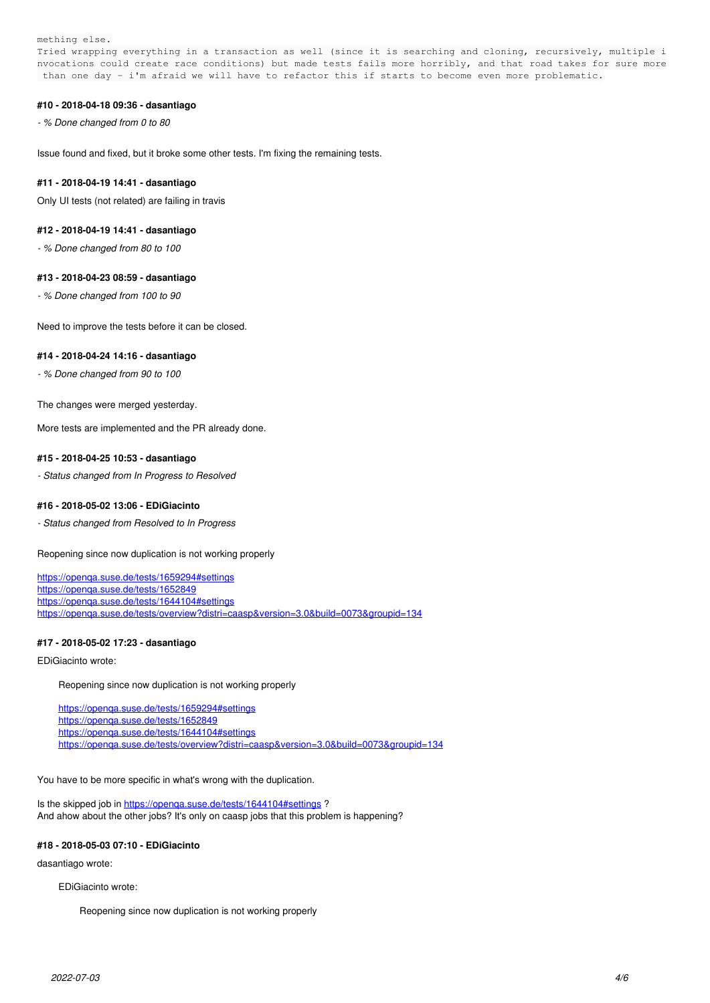mething else.

Tried wrapping everything in a transaction as well (since it is searching and cloning, recursively, multiple i nvocations could create race conditions) but made tests fails more horribly, and that road takes for sure more than one day - i'm afraid we will have to refactor this if starts to become even more problematic.

### **#10 - 2018-04-18 09:36 - dasantiago**

*- % Done changed from 0 to 80*

Issue found and fixed, but it broke some other tests. I'm fixing the remaining tests.

#### **#11 - 2018-04-19 14:41 - dasantiago**

Only UI tests (not related) are failing in travis

#### **#12 - 2018-04-19 14:41 - dasantiago**

*- % Done changed from 80 to 100*

#### **#13 - 2018-04-23 08:59 - dasantiago**

*- % Done changed from 100 to 90*

Need to improve the tests before it can be closed.

#### **#14 - 2018-04-24 14:16 - dasantiago**

*- % Done changed from 90 to 100*

The changes were merged yesterday.

More tests are implemented and the PR already done.

## **#15 - 2018-04-25 10:53 - dasantiago**

*- Status changed from In Progress to Resolved*

#### **#16 - 2018-05-02 13:06 - EDiGiacinto**

*- Status changed from Resolved to In Progress*

Reopening since now duplication is not working properly

<https://openqa.suse.de/tests/1659294#settings> <https://openqa.suse.de/tests/1652849> <https://openqa.suse.de/tests/1644104#settings> <https://openqa.suse.de/tests/overview?distri=caasp&version=3.0&build=0073&groupid=134>

## **#17 - 2018-05-02 17:23 - dasantiago**

EDiGiacinto wrote:

Reopening since now duplication is not working properly

<https://openqa.suse.de/tests/1659294#settings> <https://openqa.suse.de/tests/1652849> <https://openqa.suse.de/tests/1644104#settings> <https://openqa.suse.de/tests/overview?distri=caasp&version=3.0&build=0073&groupid=134>

You have to be more specific in what's wrong with the duplication.

Is the skipped job in https://openga.suse.de/tests/1644104#settings ? And ahow about the other jobs? It's only on caasp jobs that this problem is happening?

#### **#18 - 2018-05-03 07:10 - EDiGiacinto**

dasantiago wrote:

EDiGiacinto wrote:

Reopening since now duplication is not working properly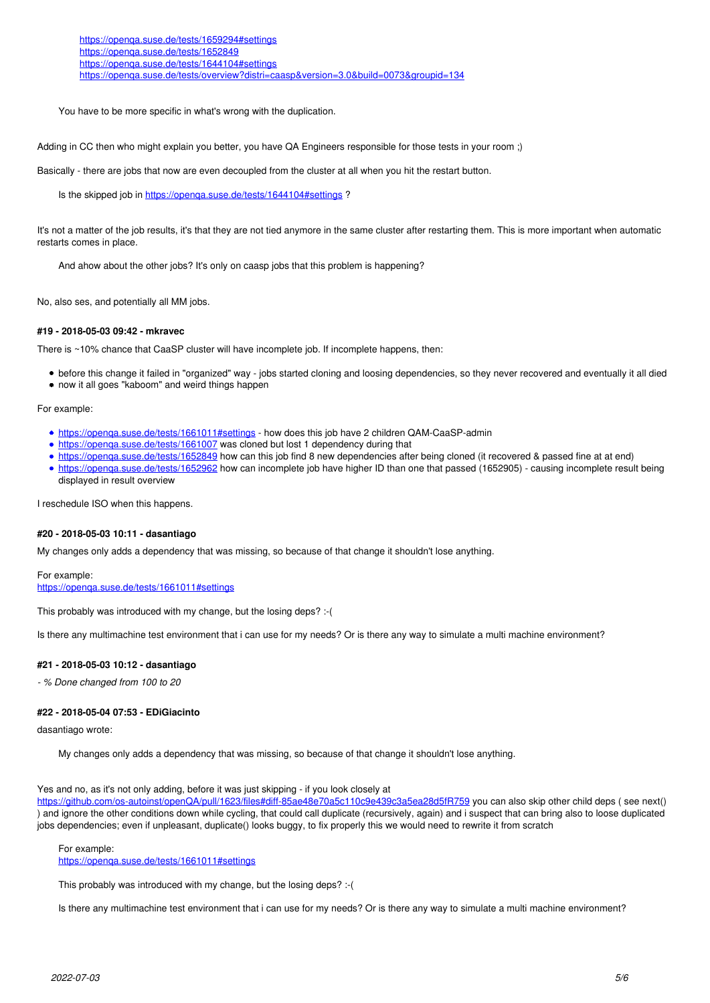<https://openqa.suse.de/tests/1659294#settings> <https://openqa.suse.de/tests/1652849> <https://openqa.suse.de/tests/1644104#settings> https://openga.suse.de/tests/overview?distri=caasp&version=3.0&build=0073&groupid=134

You have to be more specific in what's wrong with the duplication.

Adding in CC then who might explain you better, you have QA Engineers responsible for those tests in your room ;)

Basically - there are jobs that now are even decoupled from the cluster at all when you hit the restart button.

Is the skipped job in <https://openqa.suse.de/tests/1644104#settings> ?

It's not a matter of the job results, it's that they are not tied anymore in the same cluster after restarting them. This is more important when automatic restarts comes in place.

And ahow about the other jobs? It's only on caasp jobs that this problem is happening?

No, also ses, and potentially all MM jobs.

## **#19 - 2018-05-03 09:42 - mkravec**

There is ~10% chance that CaaSP cluster will have incomplete job. If incomplete happens, then:

- before this change it failed in "organized" way jobs started cloning and loosing dependencies, so they never recovered and eventually it all died
- now it all goes "kaboom" and weird things happen

For example:

- <https://openqa.suse.de/tests/1661011#settings> how does this job have 2 children QAM-CaaSP-admin
- <https://openqa.suse.de/tests/1661007> was cloned but lost 1 dependency during that
- <https://openqa.suse.de/tests/1652849> how can this job find 8 new dependencies after being cloned (it recovered & passed fine at at end)
- <https://openqa.suse.de/tests/1652962> how can incomplete job have higher ID than one that passed (1652905) causing incomplete result being displayed in result overview

I reschedule ISO when this happens.

#### **#20 - 2018-05-03 10:11 - dasantiago**

My changes only adds a dependency that was missing, so because of that change it shouldn't lose anything.

For example: <https://openqa.suse.de/tests/1661011#settings>

This probably was introduced with my change, but the losing deps? :- (

Is there any multimachine test environment that i can use for my needs? Or is there any way to simulate a multi machine environment?

#### **#21 - 2018-05-03 10:12 - dasantiago**

*- % Done changed from 100 to 20*

#### **#22 - 2018-05-04 07:53 - EDiGiacinto**

dasantiago wrote:

My changes only adds a dependency that was missing, so because of that change it shouldn't lose anything.

#### Yes and no, as it's not only adding, before it was just skipping - if you look closely at

<https://github.com/os-autoinst/openQA/pull/1623/files#diff-85ae48e70a5c110c9e439c3a5ea28d5fR759> you can also skip other child deps ( see next() ) and ignore the other conditions down while cycling, that could call duplicate (recursively, again) and i suspect that can bring also to loose duplicated jobs dependencies; even if unpleasant, duplicate() looks buggy, to fix properly this we would need to rewrite it from scratch

For example:

<https://openqa.suse.de/tests/1661011#settings>

This probably was introduced with my change, but the losing deps? :- (

Is there any multimachine test environment that i can use for my needs? Or is there any way to simulate a multi machine environment?